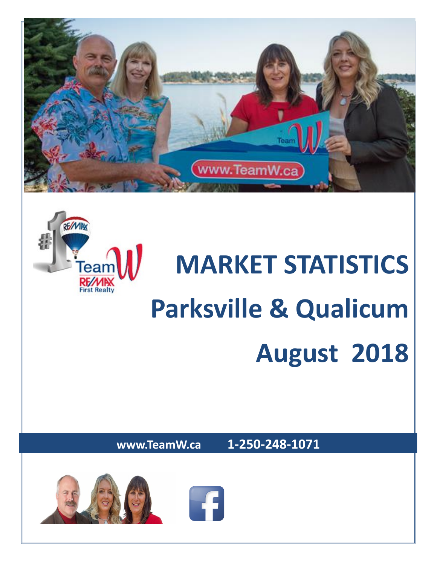



# **MARKET STATISTICS Parksville & Qualicum August 2018**

**www.TeamW.ca 1-250-248-1071** 

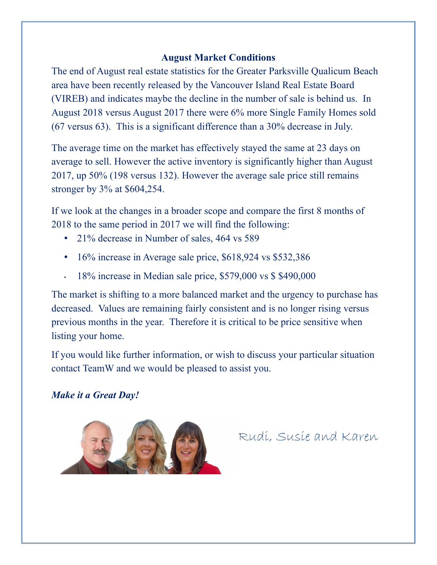#### **August Market Conditions**

The end of August real estate statistics for the Greater Parksville Qualicum Beach area have been recently released by the Vancouver Island Real Estate Board (VIREB) and indicates maybe the decline in the number of sale is behind us. In August 2018 versus August 2017 there were 6% more Single Family Homes sold (67 versus 63). This is a significant difference than a 30% decrease in July.

The average time on the market has effectively stayed the same at 23 days on average to sell. However the active inventory is significantly higher than August 2017, up 50% (198 versus 132). However the average sale price still remains stronger by 3% at \$604,254.

If we look at the changes in a broader scope and compare the first 8 months of 2018 to the same period in 2017 we will find the following:

- 21% decrease in Number of sales, 464 vs 589
- 16% increase in Average sale price, \$618,924 vs \$532,386
- 18% increase in Median sale price, \$579,000 vs \$ \$490,000

The market is shifting to a more balanced market and the urgency to purchase has decreased. Values are remaining fairly consistent and is no longer rising versus previous months in the year. Therefore it is critical to be price sensitive when listing your home.

If you would like further information, or wish to discuss your particular situation contact TeamW and we would be pleased to assist you.

### *Make it a Great Day!*



Rudi, Susie and Karen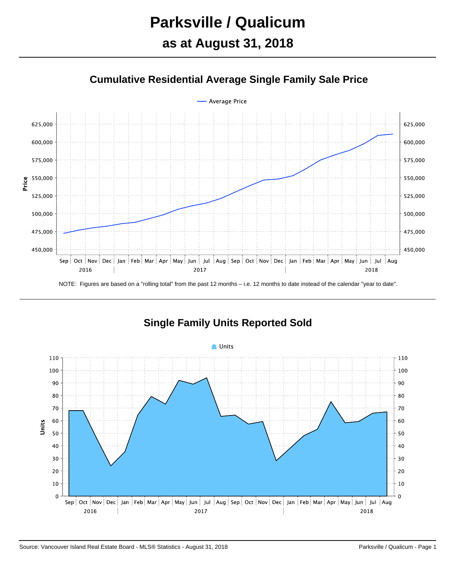# **Parksville / Qualicum as at August 31, 2018**

### **Cumulative Residential Average Single Family Sale Price**



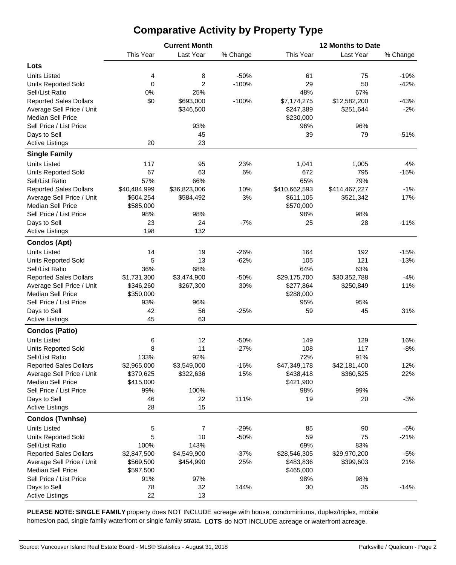# **Comparative Activity by Property Type**

| This Year<br>Last Year<br>This Year<br>Last Year<br>% Change                                           |          |
|--------------------------------------------------------------------------------------------------------|----------|
|                                                                                                        | % Change |
| Lots                                                                                                   |          |
| $-50%$<br><b>Units Listed</b><br>8<br>61<br>75<br>4                                                    | $-19%$   |
| $\boldsymbol{0}$<br>$\overline{2}$<br>$-100%$<br>29<br>50<br><b>Units Reported Sold</b>                | $-42%$   |
| 0%<br>25%<br>48%<br>67%<br>Sell/List Ratio                                                             |          |
| \$0<br><b>Reported Sales Dollars</b><br>\$693,000<br>$-100%$<br>\$7,174,275<br>\$12,582,200            | $-43%$   |
| Average Sell Price / Unit<br>\$346,500<br>\$247,389<br>\$251,644                                       | $-2%$    |
| <b>Median Sell Price</b><br>\$230,000                                                                  |          |
| 93%<br>96%<br>Sell Price / List Price<br>96%                                                           |          |
| Days to Sell<br>45<br>79<br>39                                                                         | $-51%$   |
| 20<br>23<br><b>Active Listings</b>                                                                     |          |
|                                                                                                        |          |
| <b>Single Family</b>                                                                                   |          |
| <b>Units Listed</b><br>117<br>95<br>23%<br>1,005<br>1,041                                              | 4%       |
| 67<br>63<br>6%<br>672<br>795<br><b>Units Reported Sold</b>                                             | $-15%$   |
| 65%<br>Sell/List Ratio<br>57%<br>66%<br>79%                                                            |          |
| <b>Reported Sales Dollars</b><br>\$40,484,999<br>\$36,823,006<br>10%<br>\$410,662,593<br>\$414,467,227 | $-1%$    |
| 3%<br>Average Sell Price / Unit<br>\$604,254<br>\$584,492<br>\$611,105<br>\$521,342                    | 17%      |
| <b>Median Sell Price</b><br>\$585,000<br>\$570,000                                                     |          |
| Sell Price / List Price<br>98%<br>98%<br>98%<br>98%                                                    |          |
| 23<br>24<br>$-7%$<br>25<br>28<br>Days to Sell                                                          | $-11%$   |
| 198<br>132<br><b>Active Listings</b>                                                                   |          |
| <b>Condos (Apt)</b>                                                                                    |          |
| <b>Units Listed</b><br>14<br>19<br>$-26%$<br>164<br>192                                                | $-15%$   |
| 5<br>13<br>$-62%$<br>105<br>121<br><b>Units Reported Sold</b>                                          | $-13%$   |
| 68%<br>63%<br>Sell/List Ratio<br>36%<br>64%                                                            |          |
| <b>Reported Sales Dollars</b><br>\$1,731,300<br>\$3,474,900<br>$-50%$<br>\$29,175,700<br>\$30,352,788  | $-4%$    |
| Average Sell Price / Unit<br>30%<br>\$346,260<br>\$267,300<br>\$277,864<br>\$250,849                   | 11%      |
| <b>Median Sell Price</b><br>\$350,000<br>\$288,000                                                     |          |
| Sell Price / List Price<br>96%<br>95%<br>93%<br>95%                                                    |          |
| 42<br>56<br>$-25%$<br>59<br>45<br>Days to Sell                                                         | 31%      |
| 45<br>63<br><b>Active Listings</b>                                                                     |          |
| <b>Condos (Patio)</b>                                                                                  |          |
| $-50%$<br>6<br>12<br>149<br>129<br><b>Units Listed</b>                                                 | 16%      |
| 8<br>11<br>108<br>117<br><b>Units Reported Sold</b><br>$-27%$                                          | $-8%$    |
| 91%<br>Sell/List Ratio<br>133%<br>92%<br>72%                                                           |          |
| <b>Reported Sales Dollars</b><br>\$2,965,000<br>\$3,549,000<br>$-16%$<br>\$47,349,178<br>\$42,181,400  | 12%      |
| Average Sell Price / Unit<br>\$370,625<br>\$322,636<br>15%<br>\$438,418<br>\$360,525                   | 22%      |
| <b>Median Sell Price</b><br>\$415,000<br>\$421,900                                                     |          |
| Sell Price / List Price<br>100%<br>99%<br>99%<br>98%                                                   |          |
| 46<br>22<br>111%<br>19<br>20<br>Days to Sell                                                           | $-3%$    |
| 28<br>15<br><b>Active Listings</b>                                                                     |          |
| <b>Condos (Twnhse)</b>                                                                                 |          |
| <b>Units Listed</b><br>5<br>7<br>$-29%$<br>85<br>90                                                    | $-6%$    |
| 5<br><b>Units Reported Sold</b><br>10<br>$-50%$<br>59<br>75                                            | $-21%$   |
| Sell/List Ratio<br>100%<br>143%<br>69%<br>83%                                                          |          |
| <b>Reported Sales Dollars</b><br>\$2,847,500<br>\$4,549,900<br>$-37%$<br>\$28,546,305<br>\$29,970,200  | $-5%$    |
| \$454,990<br>25%<br>Average Sell Price / Unit<br>\$569,500<br>\$483,836<br>\$399,603                   | 21%      |
| <b>Median Sell Price</b><br>\$597,500<br>\$465,000                                                     |          |
| Sell Price / List Price<br>91%<br>97%<br>98%<br>98%                                                    |          |
| Days to Sell<br>78<br>32<br>144%<br>35<br>30                                                           | $-14%$   |
| 22<br>13<br><b>Active Listings</b>                                                                     |          |

**PLEASE NOTE: SINGLE FAMILY** property does NOT INCLUDE acreage with house, condominiums, duplex/triplex, mobile homes/on pad, single family waterfront or single family strata. **LOTS** do NOT INCLUDE acreage or waterfront acreage.